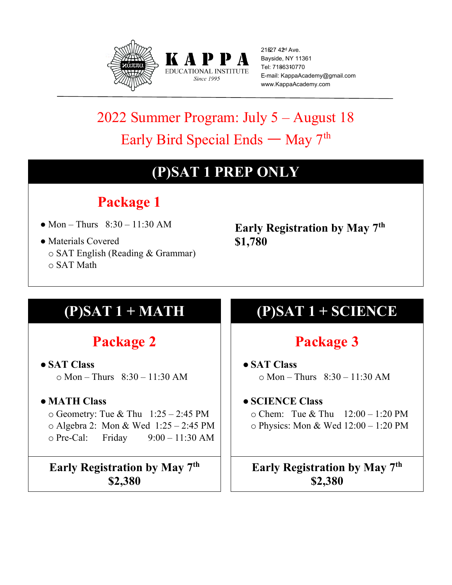



21527 42<sup>d</sup> Ave. Bayside, NY 11361 Tel: 7186310770 E-mail: KappaAcademy@gmail.com www.KappaAcademy.com

# 2022 Summer Program: July 5 – August 18 Early Bird Special Ends — May  $7<sup>th</sup>$

### **(P)SAT 1 PREP ONLY**

## **Package 1**

- Mon Thurs  $8:30 11:30$  AM
- Materials Covered o SAT English (Reading & Grammar) o SAT Math

**Early Registration by May 7th \$1,780**

### **Package 2**

● **SAT Class**  $\circ$  Mon – Thurs  $8:30 - 11:30$  AM

#### ● **MATH Class**

 $\circ$  Geometry: Tue & Thu 1:25 – 2:45 PM o Algebra 2: Mon & Wed 1:25 – 2:45 PM o Pre-Cal: Friday 9:00 – 11:30 AM

**Early Registration by May 7th \$2,380**

## **(P)SAT 1 + MATH (P)SAT 1 + SCIENCE**

### **Package 3**

- **SAT Class**  $\circ$  Mon – Thurs  $8:30 - 11:30$  AM
- **SCIENCE Class**

o Chem: Tue & Thu 12:00 – 1:20 PM o Physics: Mon & Wed 12:00 – 1:20 PM

**Early Registration by May 7th \$2,380**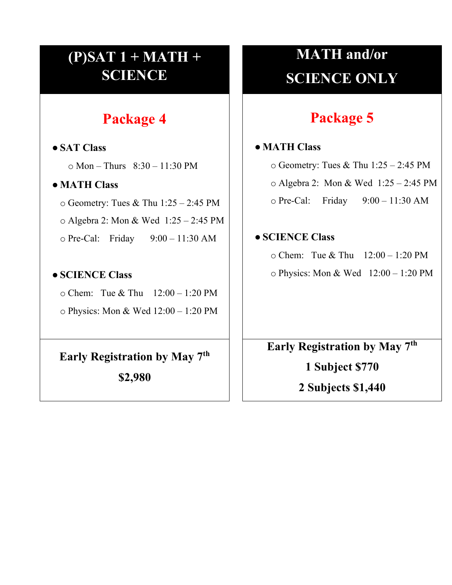### **(P)SAT 1 + MATH + SCIENCE**

### **Package 4**

● **SAT Class**  $\circ$  Mon – Thurs  $8:30 - 11:30$  PM ● **MATH Class** o Geometry: Tues & Thu 1:25 – 2:45 PM o Algebra 2: Mon & Wed 1:25 – 2:45 PM o Pre-Cal: Friday 9:00 – 11:30 AM ● **SCIENCE Class** o Chem: Tue & Thu 12:00 – 1:20 PM o Physics: Mon & Wed 12:00 – 1:20 PM **Early Registration by May 7th**

**\$2,980**

# **MATH and/or SCIENCE ONLY**

### **Package 5**

#### ● **MATH Class**

 $\circ$  Geometry: Tues & Thu 1:25 – 2:45 PM o Algebra 2: Mon & Wed 1:25 – 2:45 PM o Pre-Cal: Friday 9:00 – 11:30 AM

#### ● **SCIENCE Class**

o Chem: Tue & Thu 12:00 – 1:20 PM

 $\circ$  Physics: Mon & Wed 12:00 – 1:20 PM

**Early Registration by May 7th 1 Subject \$770 2 Subjects \$1,440**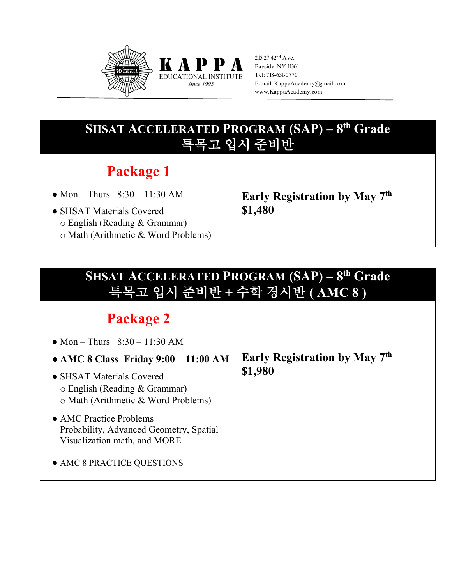

215-27 42nd Ave. Bayside, NY 11361 Tel: 718-631-0770 E-mail: KappaAcademy@gmail.com www.KappaAcademy.com

### **SHSAT ACCELERATED PROGRAM (SAP) – 8th Grade** 특목고 입시 준비반

K A P P **EDUCATIONAL INSTITUTE Since 1995** 

### **Package 1**

- Mon Thurs  $8:30 11:30$  AM
- SHSAT Materials Covered
- o English (Reading & Grammar)
- o Math (Arithmetic & Word Problems)

**Early Registration by May 7th \$1,480** 

### **SHSAT ACCELERATED PROGRAM (SAP) – 8th Grade** 특목고 입시 준비반 **+** 수학 경시반 **( AMC 8 )**

### **Package 2**

- Mon Thurs  $8:30 11:30$  AM
- **AMC 8 Class Friday 9:00 11:00 AM**
- SHSAT Materials Covered o English (Reading & Grammar) o Math (Arithmetic & Word Problems)
- AMC Practice Problems Probability, Advanced Geometry, Spatial Visualization math, and MORE
- AMC 8 PRACTICE QUESTIONS

**Early Registration by May 7th \$1,980**